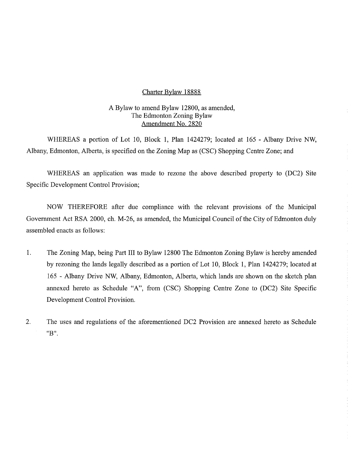### Charter Bylaw 18888

# A Bylaw to amend Bylaw 12800, as amended, The Edmonton Zoning Bylaw Amendment No. 2820

WHEREAS a portion of Lot 10, Block 1, Plan 1424279; located at 165 - Albany Drive NW, Albany, Edmonton, Alberta, is specified on the Zoning Map as (CSC) Shopping Centre Zone; and

WHEREAS an application was made to rezone the above described property to (DC2) Site Specific Development Control Provision;

NOW THEREFORE after due compliance with the relevant provisions of the Municipal Government Act RSA 2000, ch. M-26, as amended, the Municipal Council of the City of Edmonton duly assembled enacts as follows:

- 1. The Zoning Map, being Part III to Bylaw 12800 The Edmonton Zoning Bylaw is hereby amended by rezoning the lands legally described as a portion of Lot 10, Block 1, Plan 1424279; located at 165 - Albany Drive NW, Albany, Edmonton, Alberta, which lands are shown on the sketch plan annexed hereto as Schedule "A", from (CSC) Shopping Centre Zone to (DC2) Site Specific Development Control Provision.
- 2. The uses and regulations of the aforementioned DC2 Provision are annexed hereto as Schedule "B".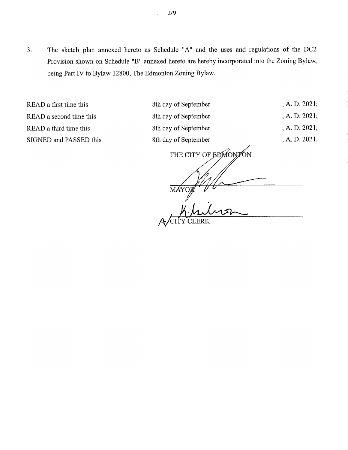3. The sketch plan annexed hereto as Schedule "A" and the uses and regulations of the DC2 Provision shown on Schedule "B" annexed hereto are hereby incorporated into the Zoning Bylaw, being Part IV to Bylaw 12800, The Edmonton Zoning Bylaw.

READ a first time this 8th day of September , A. D. 2021; READ a second time this 8th day of September , A. D. 2021; READ a third time this 8th day of September , A. D. 2021; SIGNED and PASSED this 8th day of September , A. D. 2021. THE CITY OF EDMONTON

MAYO A/CITY CLERK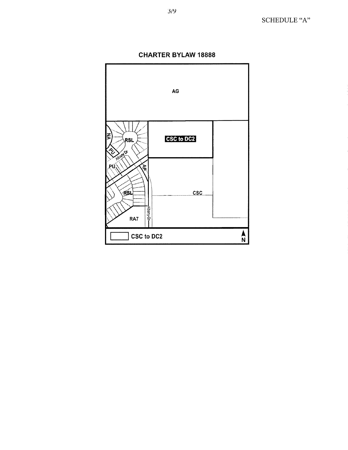

**CHARTER BYLAW 18888**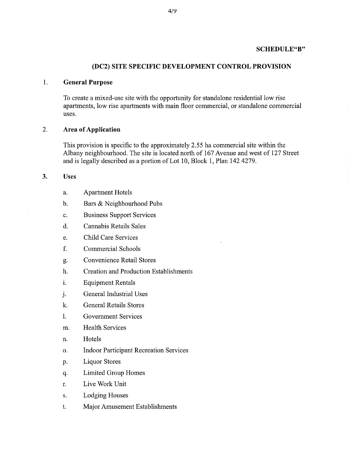# **SCHEDULE"B"**

## **(DC2) SITE SPECIFIC DEVELOPMENT CONTROL PROVISION**

#### **1. General Purpose**

To create a mixed-use site with the opportunity for standalone residential low rise apartments, low rise apartments with main floor commercial, or standalone commercial uses.

## **2. Area of Application**

This provision is specific to the approximately 2.55 ha commercial site within the Albany neighbourhood. The site is located north of 167 Avenue and west of 127 Street and is legally described as a portion of Lot 10, Block 1, Plan 142 4279.

### **3.** Uses

- a. Apartment Hotels
- b. Bars & Neighbourhood Pubs
- c. Business Support Services
- d. Cannabis Retails Sales
- e. Child Care Services
- f. Commercial Schools
- g. Convenience Retail Stores
- h. Creation and Production Establishments
- i. Equipment Rentals
- j. General Industrial Uses
- k. General Retails Stores
- 1. Government Services
- m. Health Services
- n. Hotels
- o. Indoor Participant Recreation Services
- P. Liquor Stores
- q. Limited Group Homes
- r. Live Work Unit
- s. Lodging Houses
- t. Major Amusement Establishments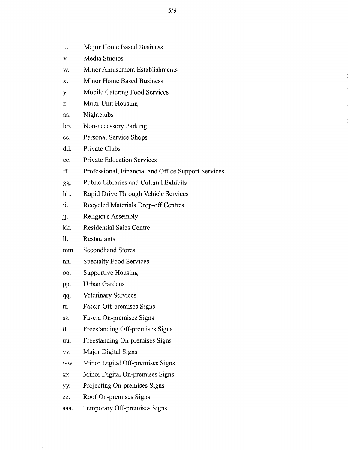- u. Major Home Based Business
- v. Media Studios
- w. Minor Amusement Establishments
- x. Minor Home Based Business
- y. Mobile Catering Food Services
- z. Multi-Unit Housing
- aa. Nightclubs
- bb. Non-accessory Parking
- cc. Personal Service Shops
- dd. Private Clubs
- cc. Private Education Services
- ff. Professional, Financial and Office Support Services
- gg. Public Libraries and Cultural Exhibits
- hh. Rapid Drive Through Vehicle Services
- ii. Recycled Materials Drop-off Centres
- ii. Religious Assembly
- kk. Residential Sales Centre
- 11. Restaurants
- mm. Secondhand Stores
- nn. Specialty Food Services
- oo. Supportive Housing
- pp. Urban Gardens
- qq. Veterinary Services
- rr. Fascia Off-premises Signs
- ss. Fascia On-premises Signs
- tt. Freestanding Off-premises Signs
- uu. Freestanding On-premises Signs
- vv. Major Digital Signs
- ww. Minor Digital Off-premises Signs
- xx. Minor Digital On-premises Signs
- yy. Projecting On-premises Signs
- zz. Roof On-premises Signs
- aaa. Temporary Off-premises Signs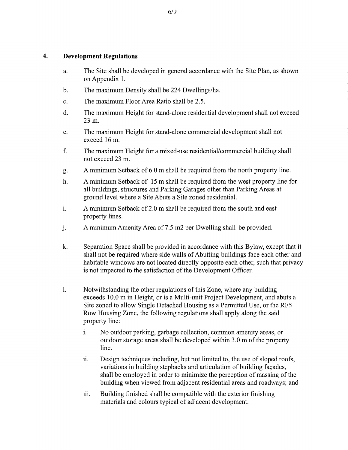## **4. Development Regulations**

- a. The Site shall be developed in general accordance with the Site Plan, as shown on Appendix 1.
- b. The maximum Density shall be 224 Dwellings/ha.
- c. The maximum Floor Area Ratio shall be 2.5.
- d. The maximum Height for stand-alone residential development shall not exceed 23 m.
- e. The maximum Height for stand-alone commercial development shall not exceed 16 m.
- f. The maximum Height for a mixed-use residential/commercial building shall not exceed 23 m.
- g. A minimum Setback of 6.0 m shall be required from the north property line.
- h. A minimum Setback of 15 m shall be required from the west property line for all buildings, structures and Parking Garages other than Parking Areas at ground level where a Site Abuts a Site zoned residential.
- i. A minimum Setback of 2.0 m shall be required from the south and east property lines.
- 1. A minimum Amenity Area of 7.5 m2 per Dwelling shall be provided.
- k. Separation Space shall be provided in accordance with this Bylaw, except that it shall not be required where side walls of Abutting buildings face each other and habitable windows are not located directly opposite each other, such that privacy is not impacted to the satisfaction of the Development Officer.
- 1. Notwithstanding the other regulations of this Zone, where any building exceeds 10.0 m in Height, or is a Multi-unit Project Development, and abuts a Site zoned to allow Single Detached Housing as a Permitted Use, or the RF5 Row Housing Zone, the following regulations shall apply along the said property line:
	- i. No outdoor parking, garbage collection, common amenity areas, or outdoor storage areas shall be developed within 3.0 m of the property line.
	- ii. Design techniques including, but not limited to, the use of sloped roofs, variations in building stepbacks and articulation of building facades, shall be employed in order to minimize the perception of massing of the building when viewed from adjacent residential areas and roadways; and
	- iii. Building finished shall be compatible with the exterior finishing materials and colours typical of adjacent development.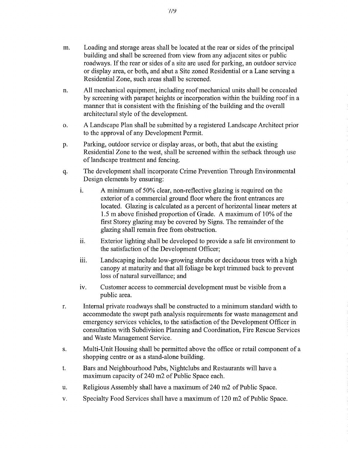- m. Loading and storage areas shall be located at the rear or sides of the principal building and shall be screened from view from any adjacent sites or public roadways. If the rear or sides of a site are used for parking, an outdoor service or display area, or both, and abut a Site zoned Residential or a Lane serving a Residential Zone, such areas shall be screened.
- n. All mechanical equipment, including roof mechanical units shall be concealed by screening with parapet heights or incorporation within the building roof in a manner that is consistent with the finishing of the building and the overall architectural style of the development.
- o. A Landscape Plan shall be submitted by a registered Landscape Architect prior to the approval of any Development Permit.
- P. Parking, outdoor service or display areas, or both, that abut the existing Residential Zone to the west, shall be screened within the setback through use of landscape treatment and fencing.
- q. The development shall incorporate Crime Prevention Through Environmental Design elements by ensuring:
	- i. A minimum of 50% clear, non-reflective glazing is required on the exterior of a commercial ground floor where the front entrances are located. Glazing is calculated as a percent of horizontal linear meters at 1.5 m above finished proportion of Grade. A maximum of 10% of the first Storey glazing may be covered by Signs. The remainder of the glazing shall remain free from obstruction.
	- ii. Exterior lighting shall be developed to provide a safe lit environment to the satisfaction of the Development Officer;
	- iii. Landscaping include low-growing shrubs or deciduous trees with a high canopy at maturity and that all foliage be kept trimmed back to prevent loss of natural surveillance; and
	- iv. Customer access to commercial development must be visible from a public area.
- r. Internal private roadways shall be constructed to a minimum standard width to accommodate the swept path analysis requirements for waste management and emergency services vehicles, to the satisfaction of the Development Officer in consultation with Subdivision Planning and Coordination, Fire Rescue Services and Waste Management Service.
- s. Multi-Unit Housing shall be permitted above the office or retail component of a shopping centre or as a stand-alone building.
- t. Bars and Neighbourhood Pubs, Nightclubs and Restaurants will have a maximum capacity of 240 m2 of Public Space each.
- u. Religious Assembly shall have a maximum of 240 m2 of Public Space.
- v. Specialty Food Services shall have a maximum of 120 m2 of Public Space.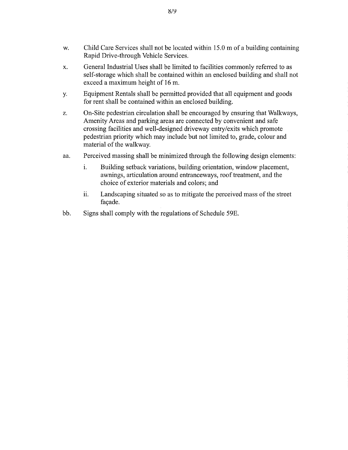- w. Child Care Services shall not be located within 15.0 m of a building containing Rapid Drive-through Vehicle Services.
- x. General Industrial Uses shall be limited to facilities commonly referred to as self-storage which shall be contained within an enclosed building and shall not exceed a maximum height of 16 m.
- 31. Equipment Rentals shall be permitted provided that all equipment and goods for rent shall be contained within an enclosed building.
- z. On-Site pedestrian circulation shall be encouraged by ensuring that Walkways, Amenity Areas and parking areas are connected by convenient and safe crossing facilities and well-designed driveway entry/exits which promote pedestrian priority which may include but not limited to, grade, colour and material of the walkway.
- aa. Perceived massing shall be minimized through the following design elements:
	- i. Building setback variations, building orientation, window placement, awnings, articulation around entranceways, roof treatment, and the choice of exterior materials and colors; and
	- ii. Landscaping situated so as to mitigate the perceived mass of the street façade.
- bb. Signs shall comply with the regulations of Schedule 59E.